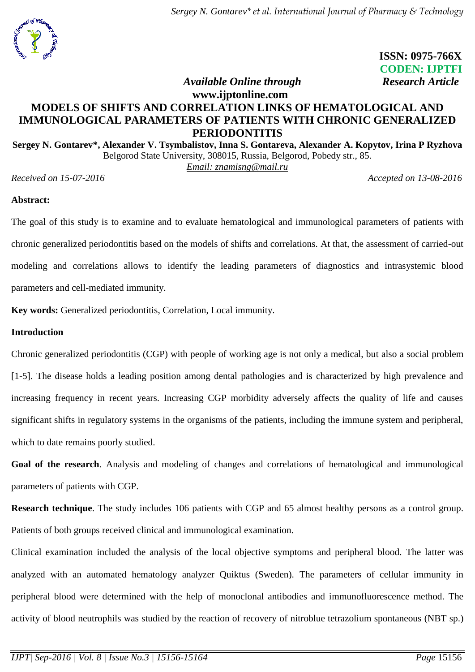

 **ISSN: 0975-766X CODEN: IJPTFI** *Available Online through* **Research Article** 

## **www.ijptonline.com MODELS OF SHIFTS AND CORRELATION LINKS OF HEMATOLOGICAL AND IMMUNOLOGICAL PARAMETERS OF PATIENTS WITH CHRONIC GENERALIZED PERIODONTITIS**

**Sergey N. Gontarev\*, Alexander V. Tsymbalistov, Inna S. Gontareva, Alexander A. Kopytov, Irina P Ryzhova** Belgorod State University, 308015, Russia, Belgorod, Pobedy str., 85. *Email: [znamisng@mail.ru](mailto:znamisng@mail.ru)*

*Received on 15-07-2016 Accepted on 13-08-2016*

### **Abstract:**

The goal of this study is to examine and to evaluate hematological and immunological parameters of patients with chronic generalized periodontitis based on the models of shifts and correlations. At that, the assessment of carried-out modeling and correlations allows to identify the leading parameters of diagnostics and intrasystemic blood parameters and cell-mediated immunity.

**Key words:** Generalized periodontitis, Correlation, Local immunity.

### **Introduction**

Chronic generalized periodontitis (CGP) with people of working age is not only a medical, but also a social problem [1-5]. The disease holds a leading position among dental pathologies and is characterized by high prevalence and increasing frequency in recent years. Increasing CGP morbidity adversely affects the quality of life and causes significant shifts in regulatory systems in the organisms of the patients, including the immune system and peripheral, which to date remains poorly studied.

**Goal of the research**. Analysis and modeling of changes and correlations of hematological and immunological parameters of patients with CGP.

**Research technique**. The study includes 106 patients with CGP and 65 almost healthy persons as a control group. Patients of both groups received clinical and immunological examination.

Clinical examination included the analysis of the local objective symptoms and peripheral blood. The latter was analyzed with an automated hematology analyzer Quiktus (Sweden). The parameters of cellular immunity in peripheral blood were determined with the help of monoclonal antibodies and immunofluorescence method. The activity of blood neutrophils was studied by the reaction of recovery of nitroblue tetrazolium spontaneous (NBT sp.)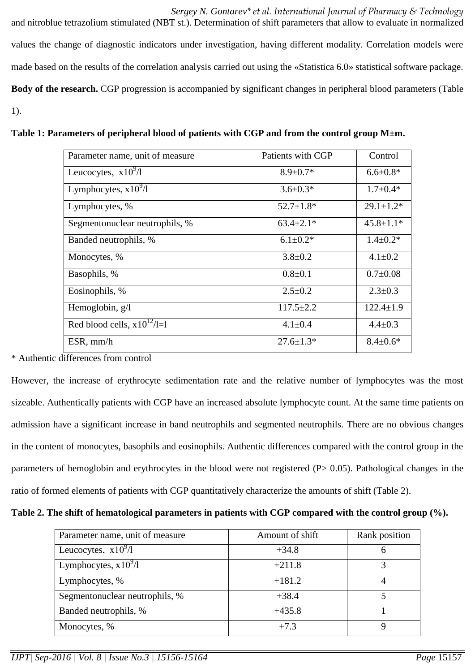*Sergey N. Gontarev\* et al. International Journal of Pharmacy & Technology* and nitroblue tetrazolium stimulated (NBT st.). Determination of shift parameters that allow to evaluate in normalized values the change of diagnostic indicators under investigation, having different modality. Correlation models were made based on the results of the correlation analysis carried out using the «Statistica 6.0» statistical software package. **Body of the research.** CGP progression is accompanied by significant changes in peripheral blood parameters (Table 1).

| Parameter name, unit of measure      | Patients with CGP | Control         |
|--------------------------------------|-------------------|-----------------|
| Leucocytes, $x\overline{10^9/1}$     | $8.9 \pm 0.7*$    | $6.6 \pm 0.8*$  |
| Lymphocytes, $x10^9/1$               | $3.6 \pm 0.3*$    | $1.7 \pm 0.4*$  |
| Lymphocytes, %                       | $52.7 \pm 1.8*$   | $29.1 \pm 1.2*$ |
| Segmentonuclear neutrophils, %       | $63.4 \pm 2.1*$   | $45.8 \pm 1.1*$ |
| Banded neutrophils, %                | $6.1 \pm 0.2*$    | $1.4 \pm 0.2*$  |
| Monocytes, %                         | $3.8 \pm 0.2$     | $4.1 \pm 0.2$   |
| Basophils, %                         | $0.8{\pm}0.1$     | $0.7 \pm 0.08$  |
| Eosinophils, %                       | $2.5 \pm 0.2$     | $2.3 \pm 0.3$   |
| Hemoglobin, $g/l$                    | $117.5 \pm 2.2$   | $122.4 \pm 1.9$ |
| Red blood cells, $x10^{12}/\sqrt{1}$ | $4.1 \pm 0.4$     | $4.4 \pm 0.3$   |
| $ESR$ , mm/h                         | $27.6 \pm 1.3*$   | $8.4 \pm 0.6*$  |

**Table 1: Parameters of peripheral blood of patients with CGP and from the control group M±m.**

\* Authentic differences from control

However, the increase of erythrocyte sedimentation rate and the relative number of lymphocytes was the most sizeable. Authentically patients with CGP have an increased absolute lymphocyte count. At the same time patients on admission have a significant increase in band neutrophils and segmented neutrophils. There are no obvious changes in the content of monocytes, basophils and eosinophils. Authentic differences compared with the control group in the parameters of hemoglobin and erythrocytes in the blood were not registered (P> 0.05). Pathological changes in the ratio of formed elements of patients with CGP quantitatively characterize the amounts of shift (Table 2).

| Parameter name, unit of measure | Amount of shift | Rank position |
|---------------------------------|-----------------|---------------|
| Leucocytes, $x10^{9}/1$         | $+34.8$         |               |
| Lymphocytes, $x10^9/1$          | $+211.8$        |               |
| Lymphocytes, %                  | $+181.2$        |               |
| Segmentonuclear neutrophils, %  | $+38.4$         |               |
| Banded neutrophils, %           | $+435.8$        |               |
| Monocytes, %                    | $+7.3$          |               |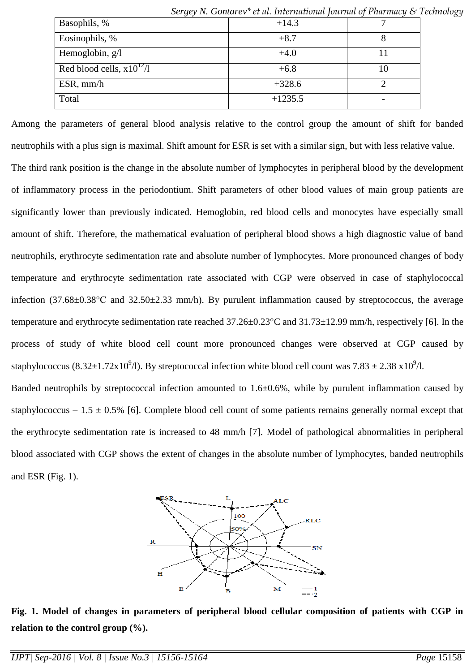|                               | $\sigma$ or $\chi$ by TV. Obtained to the intermediate formal political $\sigma$ is the intermed $\sigma$ if |    |
|-------------------------------|--------------------------------------------------------------------------------------------------------------|----|
| Basophils, %                  | $+14.3$                                                                                                      |    |
| Eosinophils, %                | $+8.7$                                                                                                       |    |
| Hemoglobin, g/l               | $+4.0$                                                                                                       |    |
| Red blood cells, $x10^{12}/1$ | $+6.8$                                                                                                       | 10 |
| $ESR$ , mm/h                  | $+328.6$                                                                                                     |    |
| Total                         | $+1235.5$                                                                                                    |    |

*Sergey N. Gontarev\* et al. International Journal of Pharmacy & Technology*

Among the parameters of general blood analysis relative to the control group the amount of shift for banded neutrophils with a plus sign is maximal. Shift amount for ESR is set with a similar sign, but with less relative value. The third rank position is the change in the absolute number of lymphocytes in peripheral blood by the development of inflammatory process in the periodontium. Shift parameters of other blood values of main group patients are significantly lower than previously indicated. Hemoglobin, red blood cells and monocytes have especially small amount of shift. Therefore, the mathematical evaluation of peripheral blood shows a high diagnostic value of band neutrophils, erythrocyte sedimentation rate and absolute number of lymphocytes. More pronounced changes of body temperature and erythrocyte sedimentation rate associated with CGP were observed in case of staphylococcal infection (37.68±0.38°С and 32.50±2.33 mm/h). By purulent inflammation caused by streptococcus, the average temperature and erythrocyte sedimentation rate reached 37.26±0.23°C and 31.73±12.99 mm/h, respectively [6]. In the process of study of white blood cell count more pronounced changes were observed at CGP caused by staphylococcus (8.32 $\pm$ 1.72x10<sup>9</sup>/l). By streptococcal infection white blood cell count was 7.83  $\pm$  2.38 x10<sup>9</sup>/l.

Banded neutrophils by streptococcal infection amounted to 1.6±0.6%, while by purulent inflammation caused by staphylococcus – 1.5  $\pm$  0.5% [6]. Complete blood cell count of some patients remains generally normal except that the erythrocyte sedimentation rate is increased to 48 mm/h [7]. Model of pathological abnormalities in peripheral blood associated with CGP shows the extent of changes in the absolute number of lymphocytes, banded neutrophils and ESR (Fig. 1).



**Fig. 1. Model of changes in parameters of peripheral blood cellular composition of patients with CGP in relation to the control group (%).**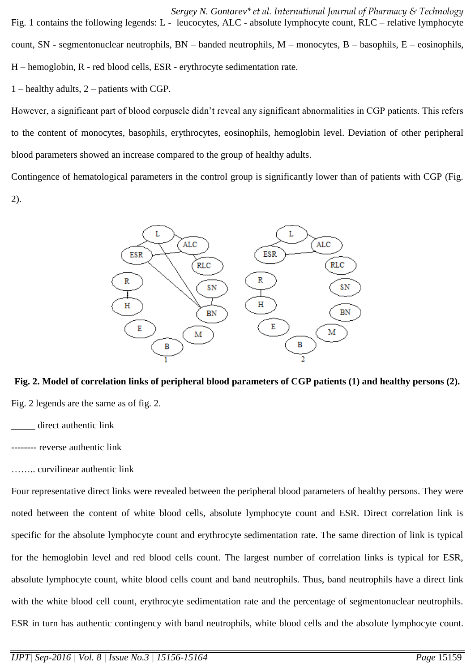*Sergey N. Gontarev\* et al. International Journal of Pharmacy & Technology* Fig. 1 contains the following legends: L - leucocytes, ALC - absolute lymphocyte count, RLC – relative lymphocyte count, SN - segmentonuclear neutrophils, BN – banded neutrophils, M – monocytes, B – basophils, E – eosinophils, H – hemoglobin, R - red blood cells, ESR - erythrocyte sedimentation rate.

1 – healthy adults, 2 – patients with CGP.

However, a significant part of blood corpuscle didn't reveal any significant abnormalities in CGP patients. This refers to the content of monocytes, basophils, erythrocytes, eosinophils, hemoglobin level. Deviation of other peripheral blood parameters showed an increase compared to the group of healthy adults.

Contingence of hematological parameters in the control group is significantly lower than of patients with CGP (Fig. 2).



**Fig. 2. Model of correlation links of peripheral blood parameters of CGP patients (1) and healthy persons (2).** Fig. 2 legends are the same as of fig. 2.

direct authentic link

-------- reverse authentic link

…….. curvilinear authentic link

Four representative direct links were revealed between the peripheral blood parameters of healthy persons. They were noted between the content of white blood cells, absolute lymphocyte count and ESR. Direct correlation link is specific for the absolute lymphocyte count and erythrocyte sedimentation rate. The same direction of link is typical for the hemoglobin level and red blood cells count. The largest number of correlation links is typical for ESR, absolute lymphocyte count, white blood cells count and band neutrophils. Thus, band neutrophils have a direct link with the white blood cell count, erythrocyte sedimentation rate and the percentage of segmentonuclear neutrophils. ESR in turn has authentic contingency with band neutrophils, white blood cells and the absolute lymphocyte count.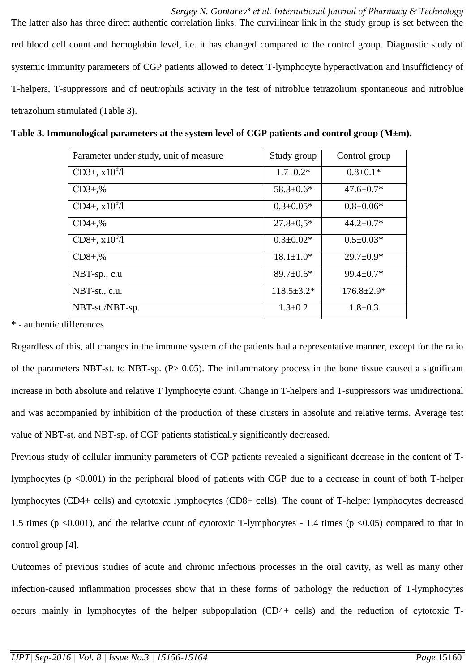*Sergey N. Gontarev\* et al. International Journal of Pharmacy & Technology* The latter also has three direct authentic correlation links. The curvilinear link in the study group is set between the red blood cell count and hemoglobin level, i.e. it has changed compared to the control group. Diagnostic study of systemic immunity parameters of CGP patients allowed to detect T-lymphocyte hyperactivation and insufficiency of T-helpers, T-suppressors and of neutrophils activity in the test of nitroblue tetrazolium spontaneous and nitroblue tetrazolium stimulated (Table 3).

| Parameter under study, unit of measure | Study group       | Control group    |
|----------------------------------------|-------------------|------------------|
| $CD3+, x10^{9}/1$                      | $1.7 \pm 0.2*$    | $0.8 \pm 0.1*$   |
| $CD3+,%$                               | $58.3 \pm 0.6^*$  | $47.6 \pm 0.7*$  |
| $CD4+, x10^{9}/1$                      | $0.3 \pm 0.05*$   | $0.8 \pm 0.06*$  |
| $CD4+,%$                               | $27.8 \pm 0.5*$   | $44.2 \pm 0.7*$  |
| $CD8+, x10^{9}/1$                      | $0.3 \pm 0.02*$   | $0.5 \pm 0.03*$  |
| $CD8+,%$                               | $18.1 \pm 1.0*$   | $29.7 \pm 0.9*$  |
| NBT-sp., c.u                           | $89.7 \pm 0.6*$   | $99.4 \pm 0.7*$  |
| NBT-st., c.u.                          | $118.5 \pm 3.2^*$ | $176.8 \pm 2.9*$ |
| NBT-st./NBT-sp.                        | $1.3 \pm 0.2$     | $1.8 \pm 0.3$    |

**Table 3. Immunological parameters at the system level of CGP patients and control group (М±m).**

\* - authentic differences

Regardless of this, all changes in the immune system of the patients had a representative manner, except for the ratio of the parameters NBT-st. to NBT-sp. (P> 0.05). The inflammatory process in the bone tissue caused a significant increase in both absolute and relative T lymphocyte count. Change in T-helpers and T-suppressors was unidirectional and was accompanied by inhibition of the production of these clusters in absolute and relative terms. Average test value of NBT-st. and NBT-sp. of CGP patients statistically significantly decreased.

Previous study of cellular immunity parameters of CGP patients revealed a significant decrease in the content of Tlymphocytes (p <0.001) in the peripheral blood of patients with CGP due to a decrease in count of both T-helper lymphocytes (CD4+ cells) and cytotoxic lymphocytes (CD8+ cells). The count of T-helper lymphocytes decreased 1.5 times ( $p \le 0.001$ ), and the relative count of cytotoxic T-lymphocytes - 1.4 times ( $p \le 0.05$ ) compared to that in control group [4].

Outcomes of previous studies of acute and chronic infectious processes in the oral cavity, as well as many other infection-caused inflammation processes show that in these forms of pathology the reduction of T-lymphocytes occurs mainly in lymphocytes of the helper subpopulation (CD4+ cells) and the reduction of cytotoxic T-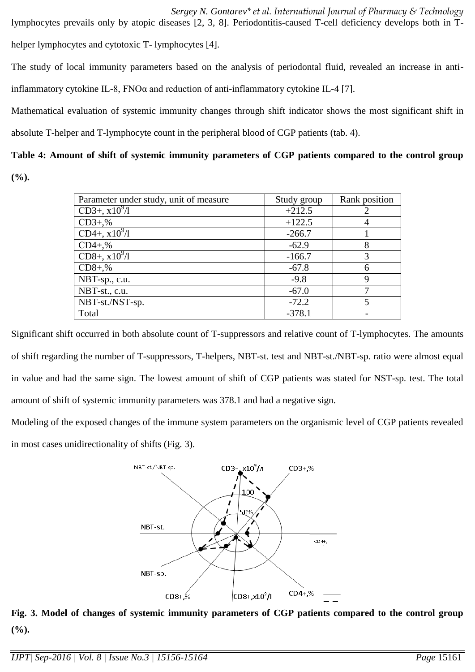*Sergey N. Gontarev\* et al. International Journal of Pharmacy & Technology* lymphocytes prevails only by atopic diseases [2, 3, 8]. Periodontitis-caused T-cell deficiency develops both in Thelper lymphocytes and cytotoxic T- lymphocytes [4].

The study of local immunity parameters based on the analysis of periodontal fluid, revealed an increase in antiinflammatory cytokine IL-8,  $FNO\alpha$  and reduction of anti-inflammatory cytokine IL-4 [7].

Mathematical evaluation of systemic immunity changes through shift indicator shows the most significant shift in absolute T-helper and T-lymphocyte count in the peripheral blood of CGP patients (tab. 4).

# **Table 4: Amount of shift of systemic immunity parameters of CGP patients compared to the control group**

**(%).**

| Parameter under study, unit of measure | Study group | Rank position |
|----------------------------------------|-------------|---------------|
| $CD3+, x10^{9}/1$                      | $+212.5$    |               |
| $CD3+,%$                               | $+122.5$    | 4             |
| CD4+, $x10^{9}/1$                      | $-266.7$    |               |
| $CD4+,%$                               | $-62.9$     | 8             |
| $CD8+, x10^{9}/1$                      | $-166.7$    | 3             |
| $CD8+,%$                               | $-67.8$     | 6             |
| NBT-sp., c.u.                          | $-9.8$      | 9             |
| NBT-st., c.u.                          | $-67.0$     | 7             |
| NBT-st./NST-sp.                        | $-72.2$     | 5             |
| Total                                  | $-378.1$    |               |

Significant shift occurred in both absolute count of T-suppressors and relative count of T-lymphocytes. The amounts of shift regarding the number of T-suppressors, T-helpers, NBT-st. test and NBT-st./NBT-sp. ratio were almost equal in value and had the same sign. The lowest amount of shift of CGP patients was stated for NST-sp. test. The total amount of shift of systemic immunity parameters was 378.1 and had a negative sign.

Modeling of the exposed changes of the immune system parameters on the organismic level of CGP patients revealed in most cases unidirectionality of shifts (Fig. 3).



**Fig. 3. Model of changes of systemic immunity parameters of CGP patients compared to the control group (%).**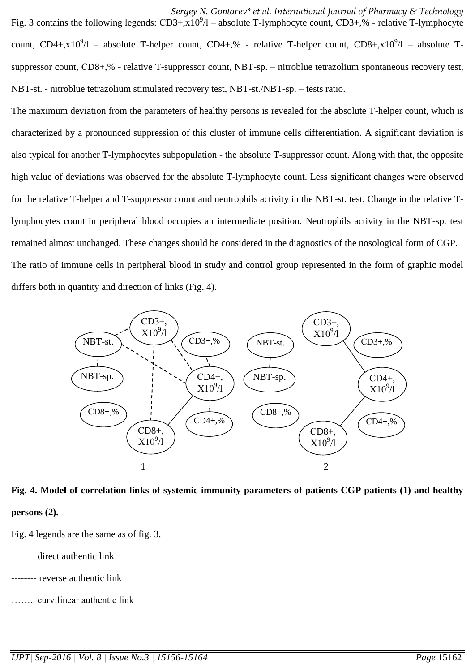*Sergey N. Gontarev\* et al. International Journal of Pharmacy & Technology* Fig. 3 contains the following legends:  $CD3+, x10^9/1 -$  absolute T-lymphocyte count,  $CD3+,$ % - relative T-lymphocyte count, CD4+,x10<sup>9</sup>/l – absolute T-helper count, CD4+,% - relative T-helper count, CD8+,x10<sup>9</sup>/l – absolute Tsuppressor count, СD8+,% - relative T-suppressor count, NBT-sp. – nitroblue tetrazolium spontaneous recovery test, NBT-st. - nitroblue tetrazolium stimulated recovery test, NBT-st./NBT-sp. – tests ratio.

The maximum deviation from the parameters of healthy persons is revealed for the absolute T-helper count, which is characterized by a pronounced suppression of this cluster of immune cells differentiation. A significant deviation is also typical for another T-lymphocytes subpopulation - the absolute T-suppressor count. Along with that, the opposite high value of deviations was observed for the absolute T-lymphocyte count. Less significant changes were observed for the relative T-helper and T-suppressor count and neutrophils activity in the NBT-st. test. Change in the relative Tlymphocytes count in peripheral blood occupies an intermediate position. Neutrophils activity in the NBT-sp. test remained almost unchanged. These changes should be considered in the diagnostics of the nosological form of CGP. The ratio of immune cells in peripheral blood in study and control group represented in the form of graphic model differs both in quantity and direction of links (Fig. 4).



**Fig. 4. Model of correlation links of systemic immunity parameters of patients CGP patients (1) and healthy persons (2).**

Fig. 4 legends are the same as of fig. 3.

direct authentic link

- -- reverse authentic link
- …….. curvilinear authentic link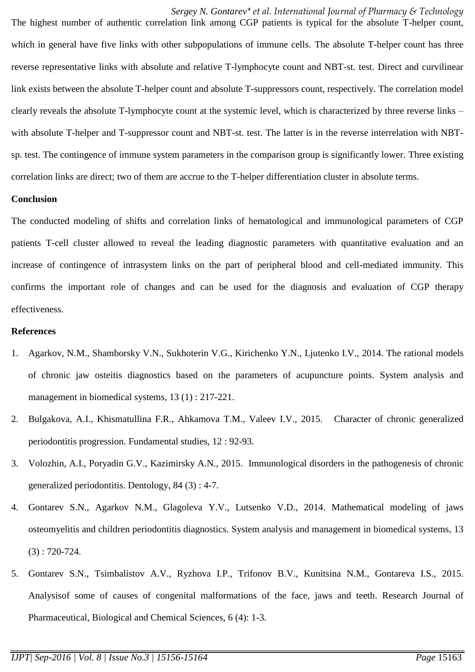*Sergey N. Gontarev\* et al. International Journal of Pharmacy & Technology*

The highest number of authentic correlation link among CGP patients is typical for the absolute T-helper count, which in general have five links with other subpopulations of immune cells. The absolute T-helper count has three reverse representative links with absolute and relative T-lymphocyte count and NBT-st. test. Direct and curvilinear link exists between the absolute T-helper count and absolute T-suppressors count, respectively. The correlation model clearly reveals the absolute T-lymphocyte count at the systemic level, which is characterized by three reverse links – with absolute T-helper and T-suppressor count and NBT-st. test. The latter is in the reverse interrelation with NBTsp. test. The contingence of immune system parameters in the comparison group is significantly lower. Three existing correlation links are direct; two of them are accrue to the T-helper differentiation cluster in absolute terms.

### **Conclusion**

The conducted modeling of shifts and correlation links of hematological and immunological parameters of CGP patients T-cell cluster allowed to reveal the leading diagnostic parameters with quantitative evaluation and an increase of contingence of intrasystem links on the part of peripheral blood and cell-mediated immunity. This confirms the important role of changes and can be used for the diagnosis and evaluation of CGP therapy effectiveness.

### **References**

- 1. Agarkov, N.M., Shamborsky V.N., Sukhoterin V.G., Kirichenko Y.N., Ljutenko I.V., 2014. The rational models of chronic jaw osteitis diagnostics based on the parameters of acupuncture points. System analysis and management in biomedical systems, 13 (1) : 217-221.
- 2. Bulgakova, A.I., Khismatullina F.R., Ahkamova T.M., Valeev I.V., 2015. Character of chronic generalized periodontitis progression. Fundamental studies, 12 : 92-93.
- 3. Volozhin, A.I., Poryadin G.V., Kazimirsky A.N., 2015. Immunological disorders in the pathogenesis of chronic generalized periodontitis. Dentology, 84 (3) : 4-7.
- 4. Gontarev S.N., Agarkov N.M., Glagoleva Y.V., Lutsenko V.D., 2014. Mathematical modeling of jaws osteomyelitis and children periodontitis diagnostics. System analysis and management in biomedical systems, 13 (3) : 720-724.
- 5. Gontarev S.N., Tsimbalistov A.V., Ryzhova I.P., Trifonov B.V., Kunitsina N.M., Gontareva I.S., 2015. Analysisof some of causes of congenital malformations of the face, jaws and teeth. Research Journal of Pharmaceutical, Biological and Chemical Sciences, 6 (4): 1-3.